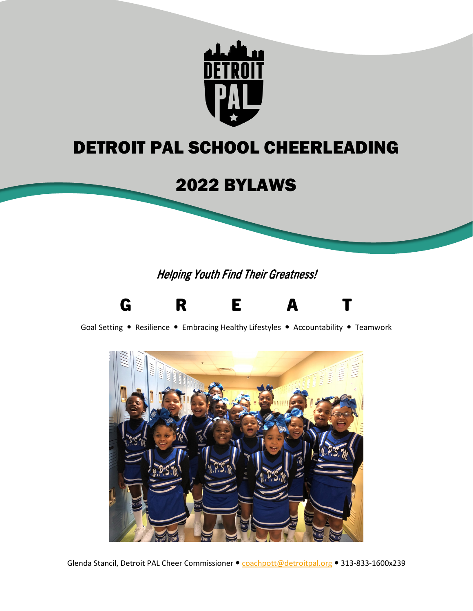

# DETROIT PAL SCHOOL CHEERLEADING

# 2022 BYLAWS

Helping Youth Find Their Greatness!



Goal Setting • Resilience • Embracing Healthy Lifestyles • Accountability • Teamwork



Glenda Stancil, Detroit PAL Cheer Commissioner · [coachpott@detroitpal.org](mailto:coachpott@detroitpal.org) · 313-833-1600x239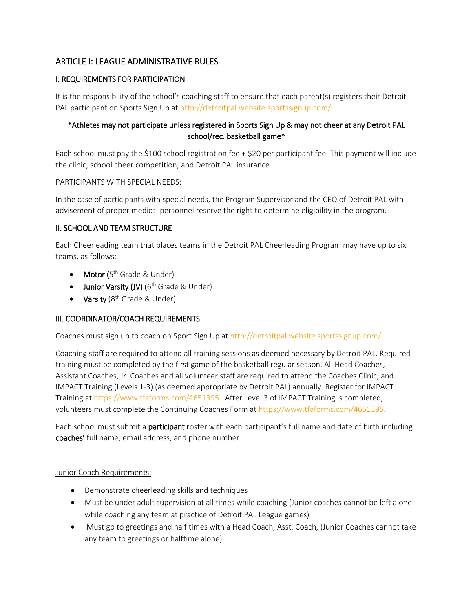# ARTICLE I: LEAGUE ADMINISTRATIVE RULES

# I. REQUIREMENTS FOR PARTICIPATION

It is the responsibility of the school's coaching staff to ensure that each parent(s) registers their Detroit PAL participant on Sports Sign Up at [http://detroitpal.website.sportssignup.com/.](http://detroitpal.website.sportssignup.com/)

# \*Athletes may not participate unless registered in Sports Sign Up & may not cheer at any Detroit PAL school/rec. basketball game\*

Each school must pay the \$100 school registration fee + \$20 per participant fee. This payment will include the clinic, school cheer competition, and Detroit PAL insurance.

PARTICIPANTS WITH SPECIAL NEEDS:

In the case of participants with special needs, the Program Supervisor and the CEO of Detroit PAL with advisement of proper medical personnel reserve the right to determine eligibility in the program.

# II. SCHOOL AND TEAM STRUCTURE

Each Cheerleading team that places teams in the Detroit PAL Cheerleading Program may have up to six teams, as follows:

- Motor  $(5<sup>th</sup>$  Grade & Under)
- Junior Varsity (JV) ( $6<sup>th</sup>$  Grade & Under)
- Varsity ( $8<sup>th</sup>$  Grade & Under)

# III. COORDINATOR/COACH REQUIREMENTS

Coaches must sign up to coach on Sport Sign Up at<http://detroitpal.website.sportssignup.com/>

Coaching staff are required to attend all training sessions as deemed necessary by Detroit PAL. Required training must be completed by the first game of the basketball regular season. All Head Coaches, Assistant Coaches, Jr. Coaches and all volunteer staff are required to attend the Coaches Clinic, and IMPACT Training (Levels 1-3) (as deemed appropriate by Detroit PAL) annually. Register for IMPACT Training a[t https://www.tfaforms.com/4651395.](https://www.tfaforms.com/4651395) After Level 3 of IMPACT Training is completed, volunteers must complete the Continuing Coaches Form a[t https://www.tfaforms.com/4651395.](https://www.tfaforms.com/4651395)

Each school must submit a participant roster with each participant's full name and date of birth including coaches' full name, email address, and phone number.

# Junior Coach Requirements:

- Demonstrate cheerleading skills and techniques
- Must be under adult supervision at all times while coaching (Junior coaches cannot be left alone while coaching any team at practice of Detroit PAL League games)
- Must go to greetings and half times with a Head Coach, Asst. Coach, (Junior Coaches cannot take any team to greetings or halftime alone)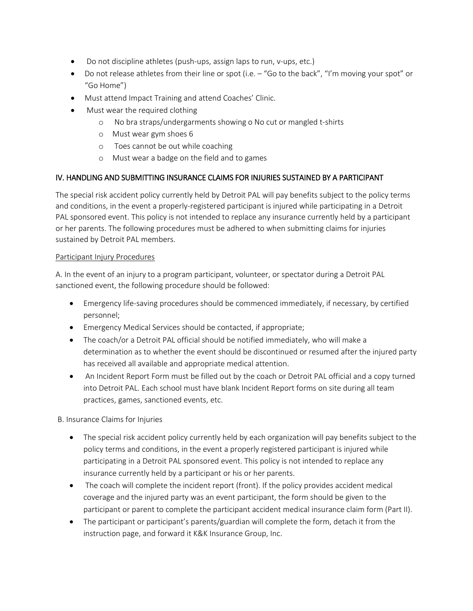- Do not discipline athletes (push-ups, assign laps to run, v-ups, etc.)
- Do not release athletes from their line or spot (i.e.  $-$  "Go to the back", "I'm moving your spot" or "Go Home")
- Must attend Impact Training and attend Coaches' Clinic.
- Must wear the required clothing
	- o No bra straps/undergarments showing o No cut or mangled t-shirts
	- o Must wear gym shoes 6
	- o Toes cannot be out while coaching
	- o Must wear a badge on the field and to games

# IV. HANDLING AND SUBMITTING INSURANCE CLAIMS FOR INJURIES SUSTAINED BY A PARTICIPANT

The special risk accident policy currently held by Detroit PAL will pay benefits subject to the policy terms and conditions, in the event a properly-registered participant is injured while participating in a Detroit PAL sponsored event. This policy is not intended to replace any insurance currently held by a participant or her parents. The following procedures must be adhered to when submitting claims for injuries sustained by Detroit PAL members.

# Participant Injury Procedures

A. In the event of an injury to a program participant, volunteer, or spectator during a Detroit PAL sanctioned event, the following procedure should be followed:

- Emergency life-saving procedures should be commenced immediately, if necessary, by certified personnel;
- Emergency Medical Services should be contacted, if appropriate;
- The coach/or a Detroit PAL official should be notified immediately, who will make a determination as to whether the event should be discontinued or resumed after the injured party has received all available and appropriate medical attention.
- An Incident Report Form must be filled out by the coach or Detroit PAL official and a copy turned into Detroit PAL. Each school must have blank Incident Report forms on site during all team practices, games, sanctioned events, etc.

# B. Insurance Claims for Injuries

- The special risk accident policy currently held by each organization will pay benefits subject to the policy terms and conditions, in the event a properly registered participant is injured while participating in a Detroit PAL sponsored event. This policy is not intended to replace any insurance currently held by a participant or his or her parents.
- The coach will complete the incident report (front). If the policy provides accident medical coverage and the injured party was an event participant, the form should be given to the participant or parent to complete the participant accident medical insurance claim form (Part II).
- The participant or participant's parents/guardian will complete the form, detach it from the instruction page, and forward it K&K Insurance Group, Inc.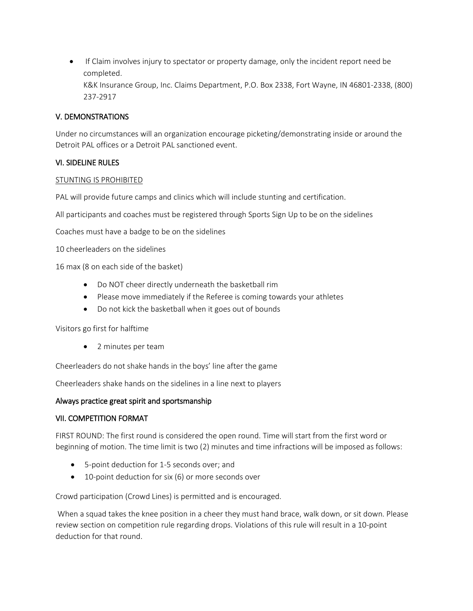• If Claim involves injury to spectator or property damage, only the incident report need be completed. K&K Insurance Group, Inc. Claims Department, P.O. Box 2338, Fort Wayne, IN 46801-2338, (800) 237-2917

# V. DEMONSTRATIONS

Under no circumstances will an organization encourage picketing/demonstrating inside or around the Detroit PAL offices or a Detroit PAL sanctioned event.

# VI. SIDELINE RULES

#### STUNTING IS PROHIBITED

PAL will provide future camps and clinics which will include stunting and certification.

All participants and coaches must be registered through Sports Sign Up to be on the sidelines

Coaches must have a badge to be on the sidelines

10 cheerleaders on the sidelines

16 max (8 on each side of the basket)

- Do NOT cheer directly underneath the basketball rim
- Please move immediately if the Referee is coming towards your athletes
- Do not kick the basketball when it goes out of bounds

Visitors go first for halftime

• 2 minutes per team

Cheerleaders do not shake hands in the boys' line after the game

Cheerleaders shake hands on the sidelines in a line next to players

# Always practice great spirit and sportsmanship

# VII. COMPETITION FORMAT

FIRST ROUND: The first round is considered the open round. Time will start from the first word or beginning of motion. The time limit is two (2) minutes and time infractions will be imposed as follows:

- 5-point deduction for 1-5 seconds over; and
- 10-point deduction for six (6) or more seconds over

Crowd participation (Crowd Lines) is permitted and is encouraged.

When a squad takes the knee position in a cheer they must hand brace, walk down, or sit down. Please review section on competition rule regarding drops. Violations of this rule will result in a 10-point deduction for that round.